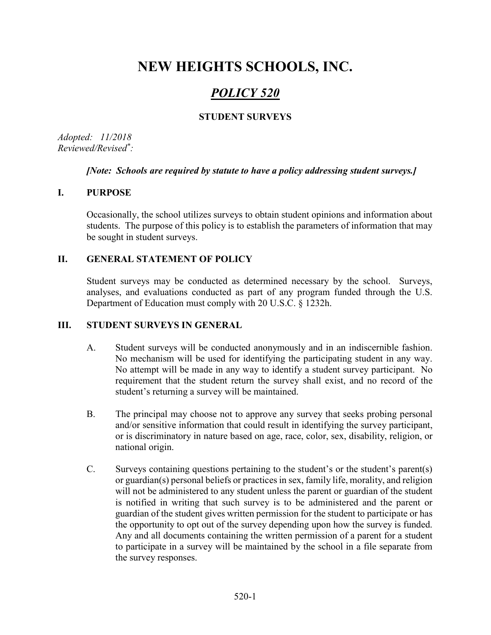# NEW HEIGHTS SCHOOLS, INC.

# POLICY 520

# STUDENT SURVEYS

Adopted: 11/2018 Reviewed/Revised\* :

#### [Note: Schools are required by statute to have a policy addressing student surveys.]

#### I. PURPOSE

Occasionally, the school utilizes surveys to obtain student opinions and information about students. The purpose of this policy is to establish the parameters of information that may be sought in student surveys.

## II. GENERAL STATEMENT OF POLICY

Student surveys may be conducted as determined necessary by the school. Surveys, analyses, and evaluations conducted as part of any program funded through the U.S. Department of Education must comply with 20 U.S.C. § 1232h.

## III. STUDENT SURVEYS IN GENERAL

- A. Student surveys will be conducted anonymously and in an indiscernible fashion. No mechanism will be used for identifying the participating student in any way. No attempt will be made in any way to identify a student survey participant. No requirement that the student return the survey shall exist, and no record of the student's returning a survey will be maintained.
- B. The principal may choose not to approve any survey that seeks probing personal and/or sensitive information that could result in identifying the survey participant, or is discriminatory in nature based on age, race, color, sex, disability, religion, or national origin.
- C. Surveys containing questions pertaining to the student's or the student's parent(s) or guardian(s) personal beliefs or practices in sex, family life, morality, and religion will not be administered to any student unless the parent or guardian of the student is notified in writing that such survey is to be administered and the parent or guardian of the student gives written permission for the student to participate or has the opportunity to opt out of the survey depending upon how the survey is funded. Any and all documents containing the written permission of a parent for a student to participate in a survey will be maintained by the school in a file separate from the survey responses.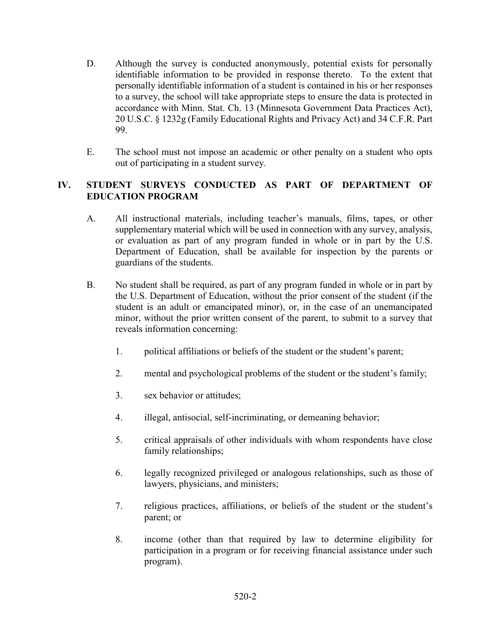- D. Although the survey is conducted anonymously, potential exists for personally identifiable information to be provided in response thereto. To the extent that personally identifiable information of a student is contained in his or her responses to a survey, the school will take appropriate steps to ensure the data is protected in accordance with Minn. Stat. Ch. 13 (Minnesota Government Data Practices Act), 20 U.S.C. § 1232g (Family Educational Rights and Privacy Act) and 34 C.F.R. Part 99.
- E. The school must not impose an academic or other penalty on a student who opts out of participating in a student survey.

# IV. STUDENT SURVEYS CONDUCTED AS PART OF DEPARTMENT OF EDUCATION PROGRAM

- A. All instructional materials, including teacher's manuals, films, tapes, or other supplementary material which will be used in connection with any survey, analysis, or evaluation as part of any program funded in whole or in part by the U.S. Department of Education, shall be available for inspection by the parents or guardians of the students.
- B. No student shall be required, as part of any program funded in whole or in part by the U.S. Department of Education, without the prior consent of the student (if the student is an adult or emancipated minor), or, in the case of an unemancipated minor, without the prior written consent of the parent, to submit to a survey that reveals information concerning:
	- 1. political affiliations or beliefs of the student or the student's parent;
	- 2. mental and psychological problems of the student or the student's family;
	- 3. sex behavior or attitudes;
	- 4. illegal, antisocial, self-incriminating, or demeaning behavior;
	- 5. critical appraisals of other individuals with whom respondents have close family relationships;
	- 6. legally recognized privileged or analogous relationships, such as those of lawyers, physicians, and ministers;
	- 7. religious practices, affiliations, or beliefs of the student or the student's parent; or
	- 8. income (other than that required by law to determine eligibility for participation in a program or for receiving financial assistance under such program).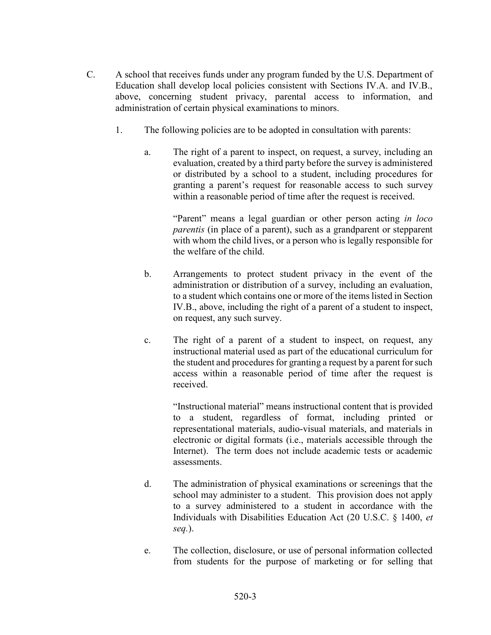- C. A school that receives funds under any program funded by the U.S. Department of Education shall develop local policies consistent with Sections IV.A. and IV.B., above, concerning student privacy, parental access to information, and administration of certain physical examinations to minors.
	- 1. The following policies are to be adopted in consultation with parents:
		- a. The right of a parent to inspect, on request, a survey, including an evaluation, created by a third party before the survey is administered or distributed by a school to a student, including procedures for granting a parent's request for reasonable access to such survey within a reasonable period of time after the request is received.

"Parent" means a legal guardian or other person acting *in loco* parentis (in place of a parent), such as a grandparent or stepparent with whom the child lives, or a person who is legally responsible for the welfare of the child.

- b. Arrangements to protect student privacy in the event of the administration or distribution of a survey, including an evaluation, to a student which contains one or more of the items listed in Section IV.B., above, including the right of a parent of a student to inspect, on request, any such survey.
- c. The right of a parent of a student to inspect, on request, any instructional material used as part of the educational curriculum for the student and procedures for granting a request by a parent for such access within a reasonable period of time after the request is received.

"Instructional material" means instructional content that is provided to a student, regardless of format, including printed or representational materials, audio-visual materials, and materials in electronic or digital formats (i.e., materials accessible through the Internet). The term does not include academic tests or academic assessments.

- d. The administration of physical examinations or screenings that the school may administer to a student. This provision does not apply to a survey administered to a student in accordance with the Individuals with Disabilities Education Act (20 U.S.C. § 1400, et seq.).
- e. The collection, disclosure, or use of personal information collected from students for the purpose of marketing or for selling that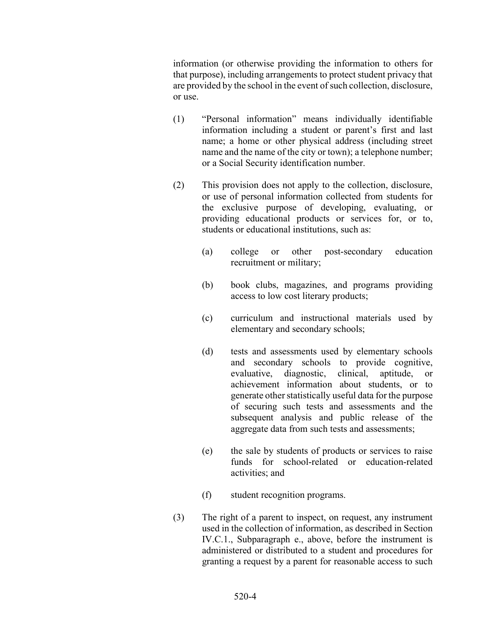information (or otherwise providing the information to others for that purpose), including arrangements to protect student privacy that are provided by the school in the event of such collection, disclosure, or use.

- (1) "Personal information" means individually identifiable information including a student or parent's first and last name; a home or other physical address (including street name and the name of the city or town); a telephone number; or a Social Security identification number.
- (2) This provision does not apply to the collection, disclosure, or use of personal information collected from students for the exclusive purpose of developing, evaluating, or providing educational products or services for, or to, students or educational institutions, such as:
	- (a) college or other post-secondary education recruitment or military;
	- (b) book clubs, magazines, and programs providing access to low cost literary products;
	- (c) curriculum and instructional materials used by elementary and secondary schools;
	- (d) tests and assessments used by elementary schools and secondary schools to provide cognitive, evaluative, diagnostic, clinical, aptitude, or achievement information about students, or to generate other statistically useful data for the purpose of securing such tests and assessments and the subsequent analysis and public release of the aggregate data from such tests and assessments;
	- (e) the sale by students of products or services to raise funds for school-related or education-related activities; and
	- (f) student recognition programs.
- (3) The right of a parent to inspect, on request, any instrument used in the collection of information, as described in Section IV.C.1., Subparagraph e., above, before the instrument is administered or distributed to a student and procedures for granting a request by a parent for reasonable access to such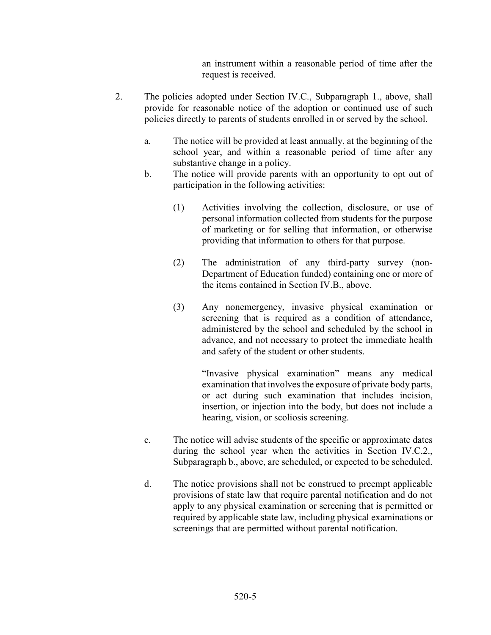an instrument within a reasonable period of time after the request is received.

- 2. The policies adopted under Section IV.C., Subparagraph 1., above, shall provide for reasonable notice of the adoption or continued use of such policies directly to parents of students enrolled in or served by the school.
	- a. The notice will be provided at least annually, at the beginning of the school year, and within a reasonable period of time after any substantive change in a policy.
	- b. The notice will provide parents with an opportunity to opt out of participation in the following activities:
		- (1) Activities involving the collection, disclosure, or use of personal information collected from students for the purpose of marketing or for selling that information, or otherwise providing that information to others for that purpose.
		- (2) The administration of any third-party survey (non-Department of Education funded) containing one or more of the items contained in Section IV.B., above.
		- (3) Any nonemergency, invasive physical examination or screening that is required as a condition of attendance, administered by the school and scheduled by the school in advance, and not necessary to protect the immediate health and safety of the student or other students.

"Invasive physical examination" means any medical examination that involves the exposure of private body parts, or act during such examination that includes incision, insertion, or injection into the body, but does not include a hearing, vision, or scoliosis screening.

- c. The notice will advise students of the specific or approximate dates during the school year when the activities in Section IV.C.2., Subparagraph b., above, are scheduled, or expected to be scheduled.
- d. The notice provisions shall not be construed to preempt applicable provisions of state law that require parental notification and do not apply to any physical examination or screening that is permitted or required by applicable state law, including physical examinations or screenings that are permitted without parental notification.